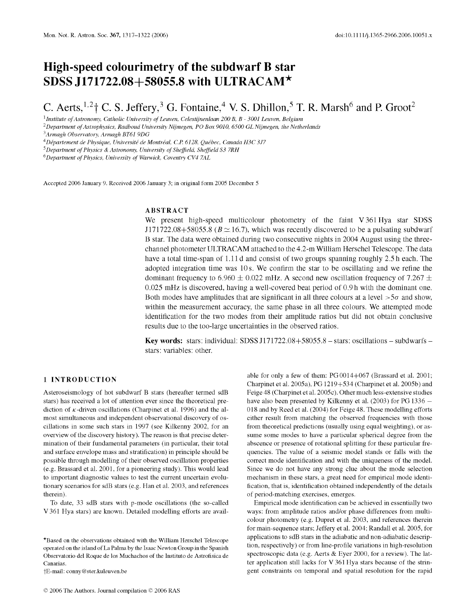# **High-speed colourimetry of the subdwarf B star SDSS J171722.08+58055.8 with ULTRACAM\***

C. Aerts,  $^{1,2}$  † C. S. Jeffery,  $^3$  G. Fontaine,  $^4$  V. S. Dhillon,  $^5$  T. R. Marsh  $^6$  and P. Groot<sup>2</sup>

<sup>1</sup> Institute of Astronomy, Catholic University of Leuven, Celestijnenlaan 200 B, B - 3001 Leuven, Belgium

<sup>2</sup> Department of Astrophysics, Radboud University Nijmegen, PO Box 9010, 6500 GL Nijmegen, the Netherlands

*3Armagh Observatory, Armagh BT61 9DG*

*4Département de Physique, Université de Montréal, C.P. 6128, Québec, Canada H3C 3J7*

<sup>5</sup> Department of Physics & Astronomy, University of Sheffield, Sheffield S3 7RH

<sup>6</sup>Department of Physics, University of Warwick, Coventry CV4 7AL

Accepted 2006 January 9. Received 2006 January 3; in original form 2005 December 5

#### ABSTRACT

We present high-speed multicolour photometry of the faint V361Hya star SDSS J171722.08+58055.8 ( $B \simeq 16.7$ ), which was recently discovered to be a pulsating subdwarf B star. The data were obtained during two consecutive nights in 2004 August using the threechannel photometer ULTRACAM attached to the 4.2-m William Herschel Telescope. The data have a total time-span of 1.11 d and consist of two groups spanning roughly 2.5 h each. The adopted integration time was 10 s. We confirm the star to be oscillating and we refine the dominant frequency to 6.960  $\pm$  0.022 mHz. A second new oscillation frequency of 7.267  $\pm$ 0.025 mHz is discovered, having a well-covered beat period of 0.9 h with the dominant one. Both modes have amplitudes that are significant in all three colours at a level  $>5\sigma$  and show, within the measurement accuracy, the same phase in all three colours. We attempted mode identification for the two modes from their amplitude ratios but did not obtain conclusive results due to the too-large uncertainties in the observed ratios.

Key words: stars: individual: SDSS J171722.08+58055.8 - stars: oscillations - subdwarfs stars: variables: other.

## 1 INTRODUCTION

Asteroseismology of hot subdwarf B stars (hereafter termed sdB stars) has received a lot of attention ever since the theoretical prediction of  $\kappa$ -driven oscillations (Charpinet et al. 1996) and the almost simultaneous and independent observational discovery of oscillations in some such stars in 1997 (see Kilkenny 2002, for an overview of the discovery history). The reason is that precise determination of their fundamental parameters (in particular, their total and surface envelope mass and stratification) in principle should be possible through modelling of their observed oscillation properties (e.g. Brassard et al. 2001, for a pioneering study). This would lead to im portant diagnostic values to test the current uncertain evolutionary scenarios for sdB stars (e.g. Han et al. 2003, and references therein).

To date, 33 sdB stars with p-mode oscillations (the so-called V 361 Hya stars) are known. Detailed modelling efforts are avail-

\*Based on the observations obtained with the William Herschel Telescope operated on the island of La Palma by the Isaac Newton Group in the Spanish Observatorio del Roque de los Muchachos of the Instituto de Astrofisica de Canarias.

fE-mail: [conny@ster.kuleuven.be](mailto:conny@ster.kuleuven.be)

able for only a few of them:  $PG 0014+067$  (Brassard et al. 2001; Charpinet et al. 2005a), PG 1219+534 (Charpinet et al. 2005b) and Feige 48 (Charpinet et al. 2005c). Other much less-extensive studies have also been presented by Kilkenny et al. (2003) for PG 1336 -018 and by Reed et al. (2004) for Feige 48. These modelling efforts either result from matching the observed frequencies with those from theoretical predictions (usually using equal weighting), or assume some modes to have a particular spherical degree from the abscence or presence of rotational splitting for these particular frequencies. The value of a seismic model stands or falls with the correct mode identification and with the uniqueness of the model. Since we do not have any strong clue about the mode selection mechanism in these stars, a great need for empirical mode identification, that is, identification obtained independently of the details of period-matching exercises, emerges.

Empirical mode identification can be achieved in essentially two ways: from amplitude ratios and/or phase differences from multicolour photometry (e.g. Dupret et al. 2003, and references therein for main-sequence stars; Jeffery et al. 2004; Randall et al. 2005, for applications to sdB stars in the adiabatic and non-adiabatic description, respectively) or from line-profile variations in high-resolution spectroscopic data (e.g. Aerts & Eyer 2000, for a review). The latter application still lacks for  $V$  361 Hya stars because of the stringent constraints on temporal and spatial resolution for the rapid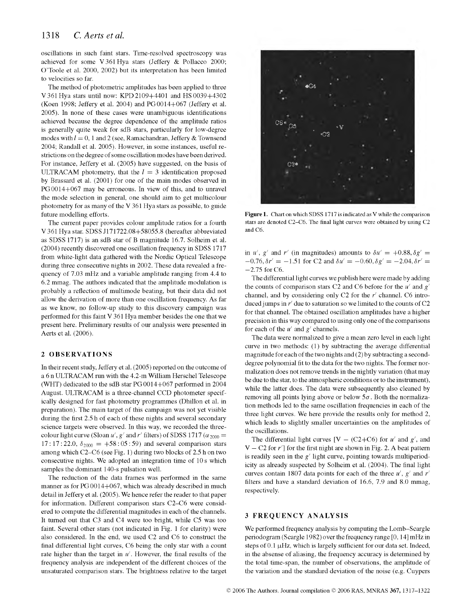oscillations in such faint stars. Time-resolved spectroscopy was achieved for some V 361 Hya stars (Jeffery & Pollacco 2000; O'Toole et al. 2000, 2002) but its interpretation has been limited to velocities so far.

The method of photometric amplitudes has been applied to three V 361 Hya stars until now: KPD 2109+4401 and HS 0039+4302 (Koen 1998; Jeffery et al. 2004) and  $PG 0014+067$  (Jeffery et al. 2005). In none of these cases were unambiguous identifications achieved because the degree dependence of the amplitude ratios is generally quite weak for sdB stars, particularly for low-degree modes with  $l = 0$ , 1 and 2 (see, Ramachandran, Jeffery & Townsend 2004; Randall et al. 2005). However, in some instances, useful restrictions on the degree of some oscillation modes have been derived. For instance, Jeffery et al. (2005) have suggested, on the basis of ULTRACAM photometry, that the  $l = 3$  identification proposed by Brassard et al. (2001) for one of the main modes observed in  $PG 0014+067$  may be erroneous. In view of this, and to unravel the mode selection in general, one should aim to get multicolour photometry for as many of the  $V$  361 Hya stars as possible, to guide future modelling efforts.

The current paper provides colour amplitude ratios for a fourth V 361 Hya star. SDSS J171722.08+58055.8 (hereafter abbreviated as SDSS 1717) is an sdB star of B magnitude 16.7. Solheim et al. (2004) recently discovered one oscillation frequency in SDSS 1717 from white-light data gathered with the Nordic Optical Telescope during three consecutive nights in 2002. These data revealed a frequency of 7.03 mHz and a variable amplitude ranging from 4.4 to 6.2 mmag. The authors indicated that the amplitude modulation is probably a reflection of multimode beating, but their data did not allow the derivation of more than one oscillation frequency. As far as we know, no follow-up study to this discovery campaign was performed for this faint  $V$  361 Hya member besides the one that we present here. Preliminary results of our analysis were presented in Aerts et al. (2006).

## 2 OBSERVATIONS

In their recent study, Jeffery et al. (2005) reported on the outcome of a 6 n ULTRACAM run with the 4.2-m William Herschel Telescope (WHT) dedicated to the sdB star PG 0014+067 performed in 2004 August. ULTRACAM is a three-channel CCD photometer specifically designed for fast photometry programmes (Dhillon et al. in preparation). The main target of this campaign was not yet visible during the first 2.5 h of each of these nights and several secondary science targets were observed. In this way, we recorded the threecolour light curve (Sloan  $u'$ ,  $g'$  and  $r'$  filters) of SDSS 1717  $(\alpha_{2000} =$  $17:17:22.0, \delta_{2000} = +58:05:59$  and several comparison stars among which C2-C6 (see Fig. 1) during two blocks of 2.5 h on two consecutive nights. We adopted an integration time of 10 s which samples the dominant 140-s pulsation well.

The reduction of the data frames was performed in the same manner as for PG 0014+067, which was already described in much detail in Jeffery et al. (2005). We hence refer the reader to that paper for information. Different comparison stars C2-C6 were considered to compute the differential magnitudes in each of the channels. It turned out that C3 and C4 were too bright, while C5 was too faint. Several other stars (not indicated in Fig. 1 for clarity) were also considered. In the end, we used C2 and C6 to construct the final differential light curves, C6 being the only star with a count rate higher than the target in  $u'$ . However, the final results of the frequency analysis are independent of the different choices of the unsaturated comparison stars. The brightness relative to the target



Figure 1. Chart on which SDSS 1717 is indicated as V while the comparison stars are denoted C2-C6. The final light curves were obtained by using C2 and C6.

in  $u'$ ,  $g'$  and  $r'$  (in magnitudes) amounts to  $\delta u' = +0.88$ ,  $\delta g' =$  $-0.76$ ,  $\delta r' = -1.51$  for C2 and  $\delta u' = -0.60$ ,  $\delta g' = -2.04$ ,  $\delta r' =$ —2.75 for C6.

The differential light curves we publish here were made by adding the counts of comparison stars C2 and C6 before for the  $u'$  and  $g'$ channel, and by considering only C2 for the *r'* channel. C6 introduced jumps in  $r'$  due to saturation so we limited to the counts of C2 for that channel. The obtained oscillation amplitudes have a higher precision in this way compared to using only one of the comparisons for each of the  $u'$  and  $g'$  channels.

The data were normalized to give a mean zero level in each light curve in two methods: (1) by subtracting the average differential magnitude for each of the two nights and  $(2)$  by subtracting a seconddegree polynomial fit to the data for the two nights. The former normalization does not remove trends in the nightly variation (that may be due to the star, to the atmospheric conditions or to the instrument), while the latter does. The data were subsequently also cleaned by removing all points lying above or below  $5\sigma$ . Both the normalization methods led to the same oscillation frequencies in each of the three light curves. We here provide the results only for method 2, which leads to slightly smaller uncertainties on the amplitudes of the oscillations.

The differential light curves  $[V - (C2+C6)$  for *u'* and *g'*, and  $V - C2$  for  $r'$ ] for the first night are shown in Fig. 2. A beat pattern is readily seen in the  $g'$  light curve, pointing towards multiperiodicity as already suspected by Solheim et al. (2004). The final light curves contain 1807 data points for each of the three  $u'$ ,  $g'$  and  $r'$ filters and have a standard deviation of  $16.6$ ,  $7.9$  and  $8.0$  mmag, respectively.

## 3 FREQUENCY ANALYSIS

We performed frequency analysis by computing the Lomb-Scargle periodogram (Scargle 1982) over the frequency range [0, 14] mHz in steps of  $0.1 \mu$ Hz, which is largely sufficient for our data set. Indeed, in the absense of aliasing, the frequency accuracy is determined by the total time-span, the number of observations, the amplitude of the variation and the standard deviation of the noise (e.g. Cuypers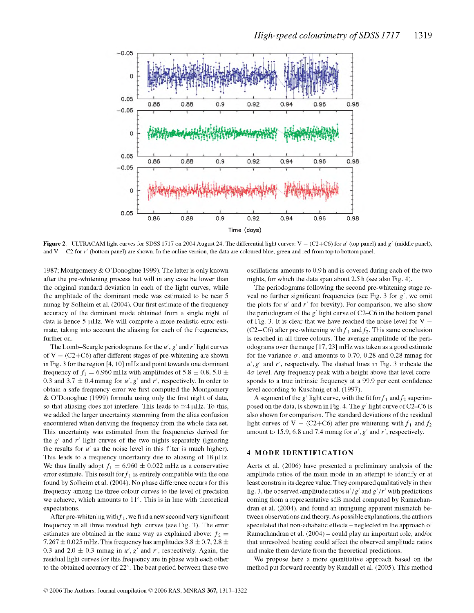

**Figure 2.** ULTRACAM light curves for SDSS 1717 on 2004 August 24. The differential light curves: V  $-$  (C2+C6) for *u'* (top panel) and *g'* (middle panel), and  $V - C2$  for  $r'$  (bottom panel) are shown. In the online version, the data are coloured blue, green and red from top to bottom panel.

1987; Montgomery & O'Donoghue 1999). The latter is only known after the pre-whitening process but will in any case be lower than the original standard deviation in each of the light curves, while the amplitude of the dominant mode was estimated to be near 5 mmag by Solheim et al. (2004). Our first estimate of the frequency accuracy of the dominant mode obtained from a single night of data is hence  $5 \mu$ Hz. We will compute a more realistic error estimate, taking into account the aliasing for each of the frequencies, further on.

The Lomb-Scargle periodograms for the  $u'$ ,  $g'$  and  $r'$  light curves of  $V - (C2 + C6)$  after different stages of pre-whitening are shown in Fig. 3 for the region  $[4, 10]$  mHz and point towards one dominant frequency of  $f_1 = 6.960$  mHz with amplitudes of 5.8  $\pm$  0.8, 5.0  $\pm$ 0.3 and 3.7  $\pm$  0.4 mmag for  $u'$ ,  $g'$  and  $r'$ , respectively. In order to obtain a safe frequency error we first computed the Montgomery  $& O'D$  onoghue (1999) formula using only the first night of data, so that aliasing does not interfere. This leads to  $\simeq$  4  $\mu$ Hz. To this, we added the larger uncertainty stemming from the alias confusion encountered when deriving the frequency from the whole data set. This uncertainty was estimated from the frequencies derived for the  $g'$  and  $r'$  light curves of the two nights separately (ignoring the results for  $u'$  as the noise level in this filter is much higher). This leads to a frequency uncertainty due to aliasing of  $18 \mu$ Hz. We thus finally adopt  $f_1 = 6.960 \pm 0.022$  mHz as a conservative error estimate. This result for  $f_1$  is entirely compatible with the one found by Solheim et al. (2004). No phase difference occurs for this frequency among the three colour curves to the level of precision we achieve, which amounts to  $11^{\circ}$ . This is in line with theoretical expectations.

After pre-whitening with  $f_1$ , we find a new second very significant frequency in all three residual light curves (see Fig. 3). The error estimates are obtained in the same way as explained above:  $f_2 =$ 7.267  $\pm$  0.025 mHz. This frequency has amplitudes 3.8  $\pm$  0.7, 2.8  $\pm$ 0.3 and 2.0  $\pm$  0.3 mmag in u',  $g'$  and r', respectively. Again, the residual light curves for this frequency are in phase with each other to the obtained accuracy of  $22^{\circ}$ . The beat period between these two

oscillations amounts to 0.9 h and is covered during each of the two nights, for which the data span about 2.5 h (see also Fig. 4).

The periodograms following the second pre-whitening stage reveal no further significant frequencies (see Fig. 3 for  $g'$ , we omit the plots for  $u'$  and  $r'$  for brevity). For comparison, we also show the periodogram of the  $g'$  light curve of C2–C6 in the bottom panel of Fig. 3. It is clear that we have reached the noise level for  $V -$ (C2+C6) after pre-whitening with  $f_1$  and  $f_2$ . This same conclusion is reached in all three colours. The average amplitude of the periodograms over the range [17, 23] mHz was taken as a good estimate for the variance  $\sigma$ , and amounts to 0.70, 0.28 and 0.28 mmag for  $u', g'$  and  $r'$ , respectively. The dashed lines in Fig. 3 indicate the  $4\sigma$  level. Any frequency peak with a height above that level corresponds to a true intrinsic frequency at a 99.9 per cent confidence level according to Kuschnig et al. (1997).

A segment of the  $g'$  light curve, with the fit for  $f_1$  and  $f_2$  superimposed on the data, is shown in Fig. 4. The  $g'$  light curve of C2–C6 is also shown for comparison. The standard deviations of the residual light curves of  $V - (C2+C6)$  after pre-whitening with  $f_1$  and  $f_2$ amount to 15.9, 6.8 and 7.4 mmag for  $u'$ ,  $g'$  and  $r'$ , respectively.

## 4 MODE IDENTIFICATION

Aerts et al. (2006) have presented a preliminary analysis of the amplitude ratios of the main mode in an attempt to identify or at least constrain its degree value. They compared qualitatively in their fig. 3, the observed amplitude ratios  $u'/g'$  and  $g'/r'$  with predictions coming from a representative sdB model computed by Ramachandran et al. (2004), and found an intriguing apparent mismatch between observations and theory. As possible explanations, the authors speculated that non-adiabatic effects – neglected in the approach of Ramachandran et al. (2004) – could play an important role, and/or that unresolved beating could affect the observed amplitude ratios and make them deviate from the theoretical predictions.

We propose here a more quantitative approach based on the method put forward recently by Randall et al. (2005). This method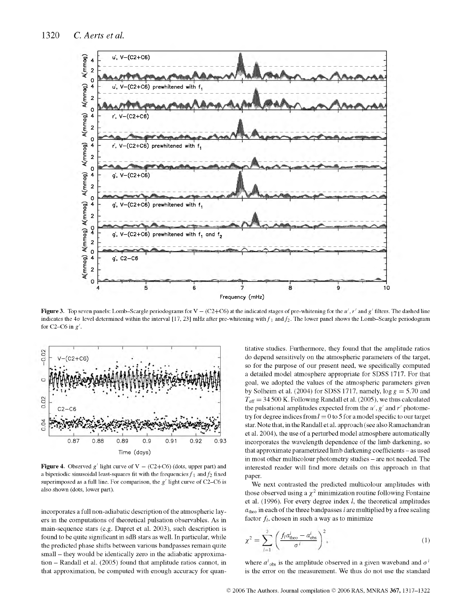

**Figure 3.** Top seven panels: Lomb–Scargle periodograms for  $V - (C2+C6)$  at the indicated stages of pre-whitening for the *u'*,  $r'$  and  $g'$  filters. The dashed line indicates the  $4\sigma$  level determined within the interval [17, 23] mHz after pre-whitening with  $f_1$  and  $f_2$ . The lower panel shows the Lomb-Scargle periodogram for C2–C6 in  $g'$ .



**Figure 4.** Observed  $g'$  light curve of  $V - (C2+C6)$  (dots, upper part) and a biperiodic sinusoidal least-squares fit with the frequencies  $f_1$  and  $f_2$  fixed superimposed as a full line. For comparison, the *g'* light curve of C2-C6 is also shown (dots, lower part).

incorporates a full non-adiabatic description of the atmospheric layers in the computations of theoretical pulsation observables. As in main-sequence stars (e.g. Dupret et al. 2003), such description is found to be quite significant in sdB stars as well. In particular, while the predicted phase shifts between various bandpasses remain quite small - they would be identically zero in the adiabatic approximation – Randall et al. (2005) found that amplitude ratios cannot, in that approximation, be computed with enough accuracy for quantitative studies. Furthermore, they found that the amplitude ratios do depend sensitively on the atmospheric parameters of the target, so for the purpose of our present need, we specifically computed a detailed model atmosphere appropriate for SDSS 1717. For that goal, we adopted the values of the atmospheric parameters given by Solheim et al. (2004) for SDSS 1717, namely,  $\log g = 5.70$  and  $T_{\text{eff}} = 34500$  K. Following Randall et al. (2005), we thus calculated the pulsational amplitudes expected from the  $u'$ ,  $g'$  and  $r'$  photometry for degree indices from  $l = 0$  to 5 for a model specific to our target star. Note that, in the Randall et al. approach (see also Ramachandran et al. 2004), the use of a perturbed model atmosphere automatically incorporates the wavelength dependence of the limb darkening, so that approximate parametrized limb darkening coefficients - as used in most other multicolour photometry studies - are not needed. The interested reader will find more details on this approach in that paper.

We next contrasted the predicted multicolour amplitudes with those observed using a  $\chi^2$  minimization routine following Fontaine et al. (1996). For every degree index  $l$ , the theoretical amplitudes  $a_{\text{theo}}$  in each of the three bandpasses *i* are multiplied by a free scaling factor  $f_l$ , chosen in such a way as to minimize

$$
\chi^2 = \sum_{i=1}^3 \left( \frac{f_i a_{\text{theo}}^i - a_{\text{obs}}^i}{\sigma^i} \right)^2, \tag{1}
$$

where  $a^{i}$ <sub>obs</sub> is the amplitude observed in a given waveband and  $\sigma^{i}$ is the error on the measurement. We thus do not use the standard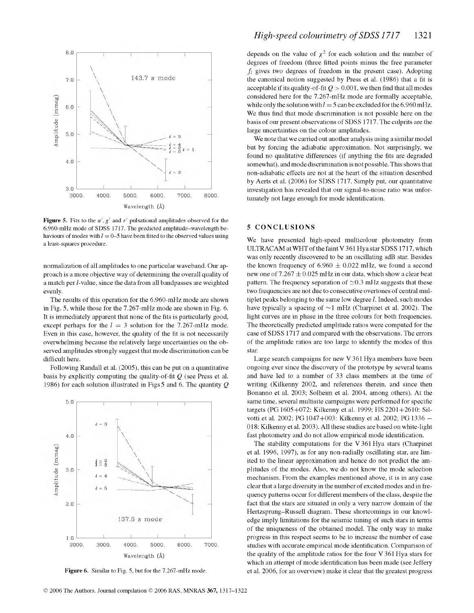

**Figure 5.** Fits to the  $u'$ ,  $g'$  and  $r'$  pulsational amplitudes observed for the 6.960-mHz mode of SDSS 1717. The predicted amplitude-wavelength behaviours of modes with  $l = 0$ –5 have been fitted to the observed values using a least-squares procedure.

normalization of all amplitudes to one particular waveband. Our approach is a more objective way of determining the overall quality of a match per *l*-value, since the data from all bandpasses are weighted evenly.

The results of this operation for the 6.960-mHz mode are shown in Fig. 5, while those for the  $7.267$ -mHz mode are shown in Fig. 6. It is immediately apparent that none of the fits is particularly good, except perhaps for the  $l = 3$  solution for the 7.267-mHz mode. Even in this case, however, the quality of the fit is not necessarily overw helm ing because the relatively large uncertainties on the observed amplitudes strongly suggest that mode discrimination can be difficult here.

Following Randall et al. (2005), this can be put on a quantitative basis by explicitly computing the quality-of-fit  $Q$  (see Press et al. 1986) for each solution illustrated in Figs 5 and 6. The quantity *Q*



**Figure 6.** Similar to Fig. 5, but for the 7.267-mHz mode.

depends on the value of  $\chi^2$  for each solution and the number of degrees of freedom (three fitted points minus the free parameter  $f_l$  gives two degrees of freedom in the present case). Adopting the canonical notion suggested by Press et al. (1986) that a fit is acceptable if its quality-of-fit  $Q > 0.001$ , we then find that all modes considered here for the 7.267-mHz mode are formally acceptable, while only the solution with  $l = 5$  can be excluded for the 6.960 mHz. We thus find that mode discrimination is not possible here on the basis of our present observations of SDSS 1717. The culprits are the large uncertainties on the colour amplitudes.

We note that we carried out another analysis using a similar model but by forcing the adiabatic approximation. Not surprisingly, we found no qualitative differences (if anything the fits are degraded somewhat), and mode discrimination is not possible. This shows that non-adiabatic effects are not at the heart of the situation described by Aerts et al. (2006) for SDSS 1717. Simply put, our quantitative investigation has revealed that our signal-to-noise ratio was unfortunately not large enough for mode identification.

## 5 CONCLUSIONS

We have presented high-speed multicolour photometry from ULTRACAM at WHT of the faint V 361 Hya star SDSS 1717, which was only recently discovered to be an oscillating sdB star. Besides the known frequency of  $6.960 \pm 0.022$  mHz, we found a second new one of  $7.267 \pm 0.025$  mHz in our data, which show a clear beat pattern. The frequency separation of  $\simeq$  0.3 mHz suggests that these two frequencies are not due to consecutive overtones of central multiplet peaks belonging to the same low degree  $l$ . Indeed, such modes have typically a spacing of  $\sim$ 1 mHz (Charpinet et al. 2002). The light curves are in phase in the three colours for both frequencies. The theoretically predicted amplitude ratios were computed for the case of SDSS 1717 and compared with the observations. The errors of the amplitude ratios are too large to identify the modes of this star.

Large search campaigns for new V 361 Hya members have been ongoing ever since the discovery of the prototype by several teams and have led to a number of 33 class members at the time of writing (Kilkenny 2002, and references therein, and since then Bonanno et al. 2003; Solheim et al. 2004, among others). At the same time, several multisite campaigns were performed for specific targets (PG 1605+072: Kilkenny et al. 1999; HS 2201+2610: Silvotti et al. 2002; PG 1047+003: Kilkenny et al. 2002; PG 1336 — 018: Kilkenny et al. 2003). All these studies are based on white-light fast photometry and do not allow empirical mode identification.

The stability computations for the V  $361$  Hya stars (Charpinet et al. 1996, 1997), as for any non-radially oscillating star, are lim ited to the linear approximation and hence do not predict the amplitudes of the modes. Also, we do not know the mode selection mechanism. From the examples mentioned above, it is in any case clear that a large diversity in the number of excited modes and in frequency patterns occur for different members of the class, despite the fact that the stars are situated in only a very narrow domain of the Hertzsprung-Russell diagram. These shortcomings in our knowledge imply limitations for the seismic tuning of such stars in terms of the uniqueness of the obtained model. The only way to make progress in this respect seems to be to increase the number of case studies with accurate empirical mode identification. Comparison of the quality of the amplitude ratios for the four  $V$  361 Hya stars for which an attempt of mode identification has been made (see Jeffery et al. 2006, for an overview) m ake it clear that the greatest progress